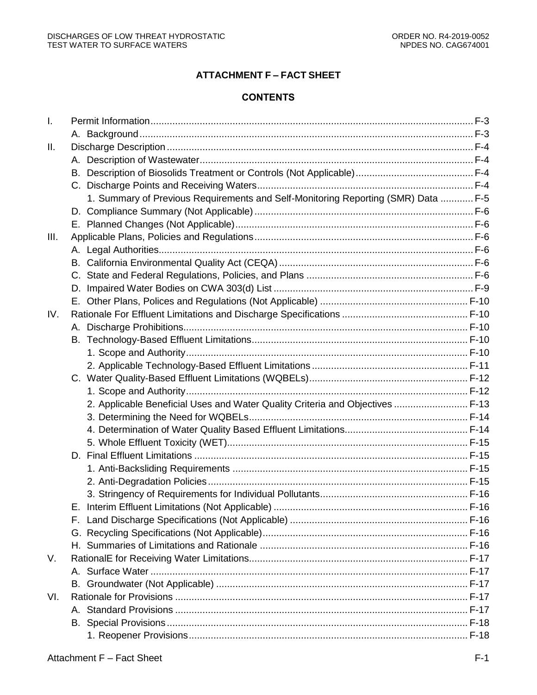# **ATTACHMENT F – FACT SHEET**

# **CONTENTS**

| Ι.   |                                                                                   |  |
|------|-----------------------------------------------------------------------------------|--|
|      |                                                                                   |  |
| H.   |                                                                                   |  |
|      |                                                                                   |  |
|      | В.                                                                                |  |
|      |                                                                                   |  |
|      | 1. Summary of Previous Requirements and Self-Monitoring Reporting (SMR) Data  F-5 |  |
|      |                                                                                   |  |
|      |                                                                                   |  |
| III. |                                                                                   |  |
|      |                                                                                   |  |
|      |                                                                                   |  |
|      |                                                                                   |  |
|      |                                                                                   |  |
|      |                                                                                   |  |
| IV.  |                                                                                   |  |
|      |                                                                                   |  |
|      |                                                                                   |  |
|      |                                                                                   |  |
|      |                                                                                   |  |
|      |                                                                                   |  |
|      |                                                                                   |  |
|      | 2. Applicable Beneficial Uses and Water Quality Criteria and Objectives  F-13     |  |
|      |                                                                                   |  |
|      |                                                                                   |  |
|      |                                                                                   |  |
|      |                                                                                   |  |
|      |                                                                                   |  |
|      |                                                                                   |  |
|      |                                                                                   |  |
|      |                                                                                   |  |
|      |                                                                                   |  |
|      |                                                                                   |  |
|      |                                                                                   |  |
| V.   |                                                                                   |  |
|      |                                                                                   |  |
|      |                                                                                   |  |
| VI.  |                                                                                   |  |
|      |                                                                                   |  |
|      |                                                                                   |  |
|      |                                                                                   |  |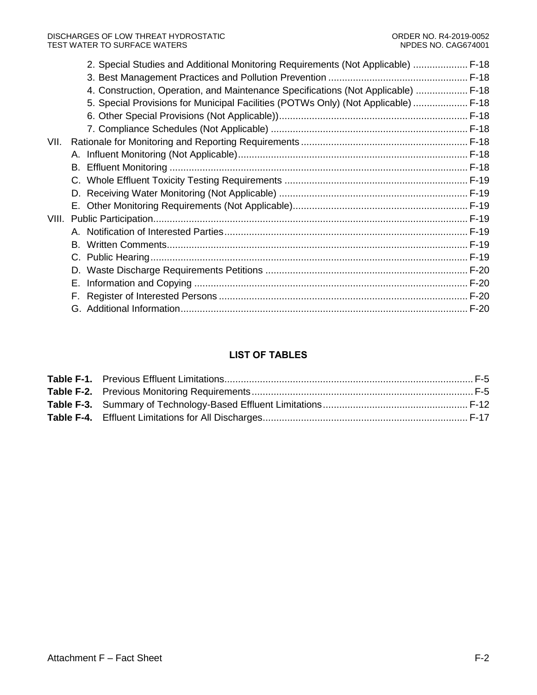|      | 2. Special Studies and Additional Monitoring Requirements (Not Applicable)  F-18   |  |
|------|------------------------------------------------------------------------------------|--|
|      |                                                                                    |  |
|      | 4. Construction, Operation, and Maintenance Specifications (Not Applicable)  F-18  |  |
|      | 5. Special Provisions for Municipal Facilities (POTWs Only) (Not Applicable)  F-18 |  |
|      |                                                                                    |  |
|      |                                                                                    |  |
| VII. |                                                                                    |  |
|      |                                                                                    |  |
|      |                                                                                    |  |
|      |                                                                                    |  |
|      |                                                                                    |  |
|      |                                                                                    |  |
|      |                                                                                    |  |
|      |                                                                                    |  |
|      |                                                                                    |  |
|      |                                                                                    |  |
|      |                                                                                    |  |
|      | Е.                                                                                 |  |
|      | F.                                                                                 |  |
|      |                                                                                    |  |

# **LIST OF TABLES**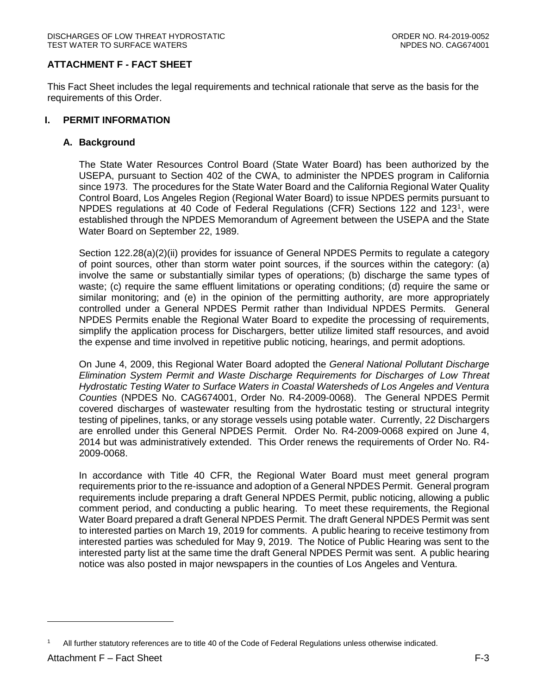# **ATTACHMENT F - FACT SHEET**

This Fact Sheet includes the legal requirements and technical rationale that serve as the basis for the requirements of this Order.

### <span id="page-2-0"></span>**I. PERMIT INFORMATION**

#### <span id="page-2-1"></span>**A. Background**

The State Water Resources Control Board (State Water Board) has been authorized by the USEPA, pursuant to Section 402 of the CWA, to administer the NPDES program in California since 1973. The procedures for the State Water Board and the California Regional Water Quality Control Board, Los Angeles Region (Regional Water Board) to issue NPDES permits pursuant to NPDES regulations at 40 Code of Federal Regulations (CFR) Sections 122 and 123<sup>1</sup>, were established through the NPDES Memorandum of Agreement between the USEPA and the State Water Board on September 22, 1989.

Section 122.28(a)(2)(ii) provides for issuance of General NPDES Permits to regulate a category of point sources, other than storm water point sources, if the sources within the category: (a) involve the same or substantially similar types of operations; (b) discharge the same types of waste; (c) require the same effluent limitations or operating conditions; (d) require the same or similar monitoring; and (e) in the opinion of the permitting authority, are more appropriately controlled under a General NPDES Permit rather than Individual NPDES Permits. General NPDES Permits enable the Regional Water Board to expedite the processing of requirements, simplify the application process for Dischargers, better utilize limited staff resources, and avoid the expense and time involved in repetitive public noticing, hearings, and permit adoptions.

On June 4, 2009, this Regional Water Board adopted the *General National Pollutant Discharge Elimination System Permit and Waste Discharge Requirements for Discharges of Low Threat Hydrostatic Testing Water to Surface Waters in Coastal Watersheds of Los Angeles and Ventura Counties* (NPDES No. CAG674001, Order No. R4-2009-0068). The General NPDES Permit covered discharges of wastewater resulting from the hydrostatic testing or structural integrity testing of pipelines, tanks, or any storage vessels using potable water. Currently, 22 Dischargers are enrolled under this General NPDES Permit. Order No. R4-2009-0068 expired on June 4, 2014 but was administratively extended. This Order renews the requirements of Order No. R4- 2009-0068.

In accordance with Title 40 CFR, the Regional Water Board must meet general program requirements prior to the re-issuance and adoption of a General NPDES Permit. General program requirements include preparing a draft General NPDES Permit, public noticing, allowing a public comment period, and conducting a public hearing. To meet these requirements, the Regional Water Board prepared a draft General NPDES Permit. The draft General NPDES Permit was sent to interested parties on March 19, 2019 for comments. A public hearing to receive testimony from interested parties was scheduled for May 9, 2019. The Notice of Public Hearing was sent to the interested party list at the same time the draft General NPDES Permit was sent. A public hearing notice was also posted in major newspapers in the counties of Los Angeles and Ventura.

 $\overline{a}$ 

<sup>1</sup> All further statutory references are to title 40 of the Code of Federal Regulations unless otherwise indicated.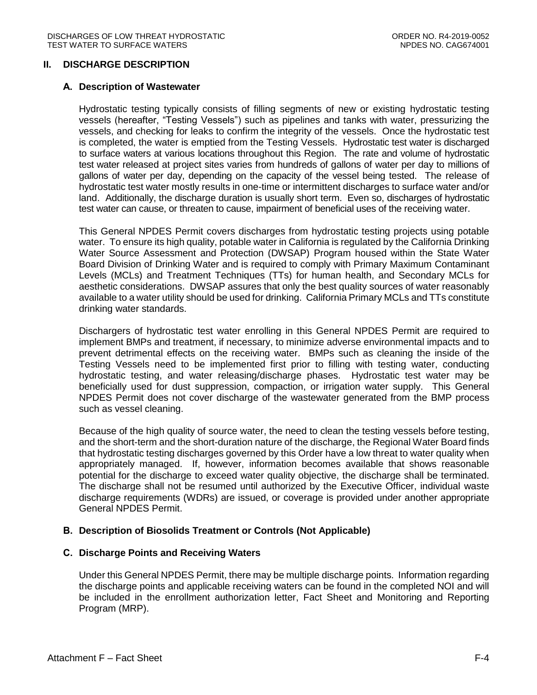#### <span id="page-3-0"></span>**II. DISCHARGE DESCRIPTION**

#### <span id="page-3-1"></span>**A. Description of Wastewater**

Hydrostatic testing typically consists of filling segments of new or existing hydrostatic testing vessels (hereafter, "Testing Vessels") such as pipelines and tanks with water, pressurizing the vessels, and checking for leaks to confirm the integrity of the vessels. Once the hydrostatic test is completed, the water is emptied from the Testing Vessels. Hydrostatic test water is discharged to surface waters at various locations throughout this Region. The rate and volume of hydrostatic test water released at project sites varies from hundreds of gallons of water per day to millions of gallons of water per day, depending on the capacity of the vessel being tested. The release of hydrostatic test water mostly results in one-time or intermittent discharges to surface water and/or land. Additionally, the discharge duration is usually short term. Even so, discharges of hydrostatic test water can cause, or threaten to cause, impairment of beneficial uses of the receiving water.

This General NPDES Permit covers discharges from hydrostatic testing projects using potable water. To ensure its high quality, potable water in California is regulated by the California Drinking Water Source Assessment and Protection (DWSAP) Program housed within the State Water Board Division of Drinking Water and is required to comply with Primary Maximum Contaminant Levels (MCLs) and Treatment Techniques (TTs) for human health, and Secondary MCLs for aesthetic considerations. DWSAP assures that only the best quality sources of water reasonably available to a water utility should be used for drinking. California Primary MCLs and TTs constitute drinking water standards.

Dischargers of hydrostatic test water enrolling in this General NPDES Permit are required to implement BMPs and treatment, if necessary, to minimize adverse environmental impacts and to prevent detrimental effects on the receiving water. BMPs such as cleaning the inside of the Testing Vessels need to be implemented first prior to filling with testing water, conducting hydrostatic testing, and water releasing/discharge phases. Hydrostatic test water may be beneficially used for dust suppression, compaction, or irrigation water supply. This General NPDES Permit does not cover discharge of the wastewater generated from the BMP process such as vessel cleaning.

Because of the high quality of source water, the need to clean the testing vessels before testing. and the short-term and the short-duration nature of the discharge, the Regional Water Board finds that hydrostatic testing discharges governed by this Order have a low threat to water quality when appropriately managed. If, however, information becomes available that shows reasonable potential for the discharge to exceed water quality objective, the discharge shall be terminated. The discharge shall not be resumed until authorized by the Executive Officer, individual waste discharge requirements (WDRs) are issued, or coverage is provided under another appropriate General NPDES Permit.

# <span id="page-3-2"></span>**B. Description of Biosolids Treatment or Controls (Not Applicable)**

#### <span id="page-3-3"></span>**C. Discharge Points and Receiving Waters**

Under this General NPDES Permit, there may be multiple discharge points. Information regarding the discharge points and applicable receiving waters can be found in the completed NOI and will be included in the enrollment authorization letter, Fact Sheet and Monitoring and Reporting Program (MRP).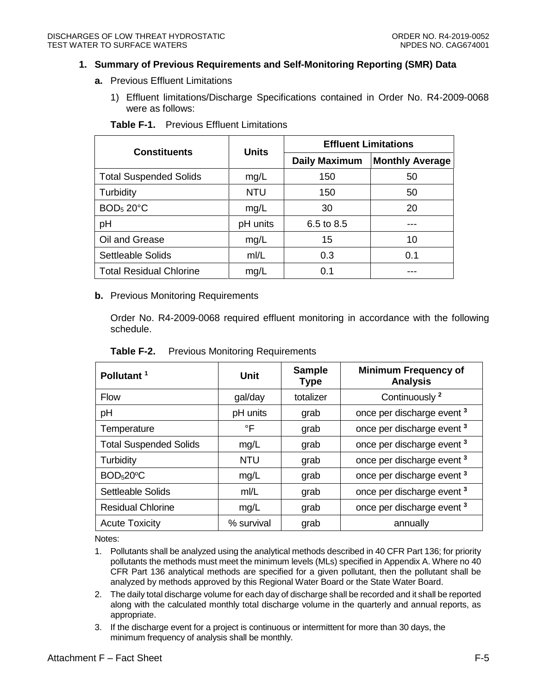#### <span id="page-4-0"></span>**1. Summary of Previous Requirements and Self-Monitoring Reporting (SMR) Data**

- **a.** Previous Effluent Limitations
	- 1) Effluent limitations/Discharge Specifications contained in Order No. R4-2009-0068 were as follows:

<span id="page-4-1"></span>

| <b>Constituents</b>            | <b>Units</b> | <b>Effluent Limitations</b> |                        |  |
|--------------------------------|--------------|-----------------------------|------------------------|--|
|                                |              | <b>Daily Maximum</b>        | <b>Monthly Average</b> |  |
| <b>Total Suspended Solids</b>  | mg/L         | 150                         | 50                     |  |
| Turbidity                      | <b>NTU</b>   | 150                         | 50                     |  |
| BOD <sub>5</sub> 20°C          | mg/L         | 30                          | 20                     |  |
| pH                             | pH units     | 6.5 to 8.5                  |                        |  |
| Oil and Grease                 | mg/L         | 15                          | 10                     |  |
| Settleable Solids              | m/L          | 0.3                         | 0.1                    |  |
| <b>Total Residual Chlorine</b> | mg/L         | 0.1                         |                        |  |

**Table F-1.** Previous Effluent Limitations

#### **b.** Previous Monitoring Requirements

Order No. R4-2009-0068 required effluent monitoring in accordance with the following schedule.

| Pollutant <sup>1</sup>        | <b>Unit</b> | <b>Sample</b><br><b>Type</b> | <b>Minimum Frequency of</b><br><b>Analysis</b> |  |
|-------------------------------|-------------|------------------------------|------------------------------------------------|--|
| <b>Flow</b>                   | gal/day     | totalizer                    | Continuously <sup>2</sup>                      |  |
| pH                            | pH units    | grab                         | once per discharge event <sup>3</sup>          |  |
| Temperature                   | °F          | grab                         | once per discharge event <sup>3</sup>          |  |
| <b>Total Suspended Solids</b> | mg/L        | grab                         | once per discharge event <sup>3</sup>          |  |
| Turbidity                     | <b>NTU</b>  | grab                         | once per discharge event <sup>3</sup>          |  |
| BOD <sub>5</sub> 20°C         | mg/L        | grab                         | once per discharge event <sup>3</sup>          |  |
| Settleable Solids             | m/L         | grab                         | once per discharge event <sup>3</sup>          |  |
| <b>Residual Chlorine</b>      | mg/L        | grab                         | once per discharge event <sup>3</sup>          |  |
| <b>Acute Toxicity</b>         | % survival  | grab                         | annually                                       |  |

<span id="page-4-2"></span>**Table F-2.** Previous Monitoring Requirements

Notes:

- 1. Pollutants shall be analyzed using the analytical methods described in 40 CFR Part 136; for priority pollutants the methods must meet the minimum levels (MLs) specified in Appendix A. Where no 40 CFR Part 136 analytical methods are specified for a given pollutant, then the pollutant shall be analyzed by methods approved by this Regional Water Board or the State Water Board.
- 2. The daily total discharge volume for each day of discharge shall be recorded and it shall be reported along with the calculated monthly total discharge volume in the quarterly and annual reports, as appropriate.
- 3. If the discharge event for a project is continuous or intermittent for more than 30 days, the minimum frequency of analysis shall be monthly.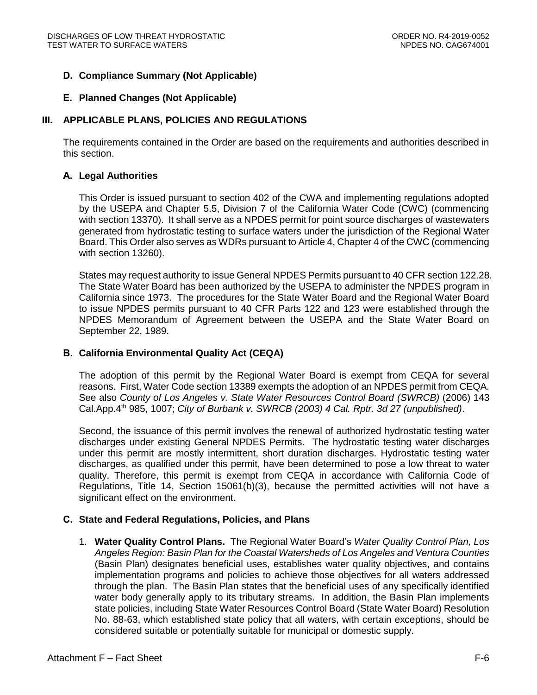# <span id="page-5-0"></span>**D. Compliance Summary (Not Applicable)**

### <span id="page-5-1"></span>**E. Planned Changes (Not Applicable)**

# <span id="page-5-2"></span>**III. APPLICABLE PLANS, POLICIES AND REGULATIONS**

The requirements contained in the Order are based on the requirements and authorities described in this section.

#### <span id="page-5-3"></span>**A. Legal Authorities**

This Order is issued pursuant to section 402 of the CWA and implementing regulations adopted by the USEPA and Chapter 5.5, Division 7 of the California Water Code (CWC) (commencing with section 13370). It shall serve as a NPDES permit for point source discharges of wastewaters generated from hydrostatic testing to surface waters under the jurisdiction of the Regional Water Board. This Order also serves as WDRs pursuant to Article 4, Chapter 4 of the CWC (commencing with section 13260).

States may request authority to issue General NPDES Permits pursuant to 40 CFR section 122.28. The State Water Board has been authorized by the USEPA to administer the NPDES program in California since 1973. The procedures for the State Water Board and the Regional Water Board to issue NPDES permits pursuant to 40 CFR Parts 122 and 123 were established through the NPDES Memorandum of Agreement between the USEPA and the State Water Board on September 22, 1989.

# <span id="page-5-4"></span>**B. California Environmental Quality Act (CEQA)**

The adoption of this permit by the Regional Water Board is exempt from CEQA for several reasons. First, Water Code section 13389 exempts the adoption of an NPDES permit from CEQA. See also *County of Los Angeles v. State Water Resources Control Board (SWRCB)* (2006) 143 Cal.App.4th 985, 1007; *City of Burbank v. SWRCB (2003) 4 Cal. Rptr. 3d 27 (unpublished)*.

Second, the issuance of this permit involves the renewal of authorized hydrostatic testing water discharges under existing General NPDES Permits. The hydrostatic testing water discharges under this permit are mostly intermittent, short duration discharges. Hydrostatic testing water discharges, as qualified under this permit, have been determined to pose a low threat to water quality. Therefore, this permit is exempt from CEQA in accordance with California Code of Regulations, Title 14, Section 15061(b)(3), because the permitted activities will not have a significant effect on the environment.

# <span id="page-5-5"></span>**C. State and Federal Regulations, Policies, and Plans**

1. **Water Quality Control Plans.** The Regional Water Board's *Water Quality Control Plan, Los Angeles Region: Basin Plan for the Coastal Watersheds of Los Angeles and Ventura Counties*  (Basin Plan) designates beneficial uses, establishes water quality objectives, and contains implementation programs and policies to achieve those objectives for all waters addressed through the plan. The Basin Plan states that the beneficial uses of any specifically identified water body generally apply to its tributary streams. In addition, the Basin Plan implements state policies, including State Water Resources Control Board (State Water Board) Resolution No. 88-63, which established state policy that all waters, with certain exceptions, should be considered suitable or potentially suitable for municipal or domestic supply.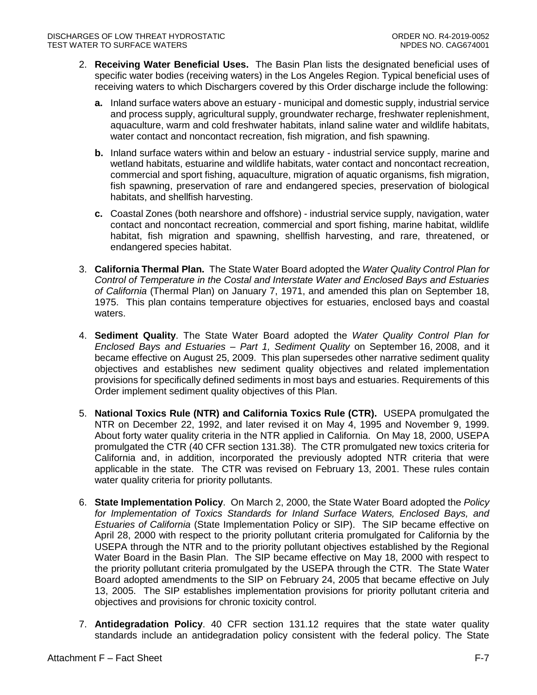- 2. **Receiving Water Beneficial Uses.** The Basin Plan lists the designated beneficial uses of specific water bodies (receiving waters) in the Los Angeles Region. Typical beneficial uses of receiving waters to which Dischargers covered by this Order discharge include the following:
	- **a.** Inland surface waters above an estuary municipal and domestic supply, industrial service and process supply, agricultural supply, groundwater recharge, freshwater replenishment, aquaculture, warm and cold freshwater habitats, inland saline water and wildlife habitats, water contact and noncontact recreation, fish migration, and fish spawning.
	- **b.** Inland surface waters within and below an estuary industrial service supply, marine and wetland habitats, estuarine and wildlife habitats, water contact and noncontact recreation, commercial and sport fishing, aquaculture, migration of aquatic organisms, fish migration, fish spawning, preservation of rare and endangered species, preservation of biological habitats, and shellfish harvesting.
	- **c.** Coastal Zones (both nearshore and offshore) industrial service supply, navigation, water contact and noncontact recreation, commercial and sport fishing, marine habitat, wildlife habitat, fish migration and spawning, shellfish harvesting, and rare, threatened, or endangered species habitat.
- 3. **California Thermal Plan.** The State Water Board adopted the *Water Quality Control Plan for Control of Temperature in the Costal and Interstate Water and Enclosed Bays and Estuaries of California* (Thermal Plan) on January 7, 1971, and amended this plan on September 18, 1975. This plan contains temperature objectives for estuaries, enclosed bays and coastal waters.
- 4. **Sediment Quality**. The State Water Board adopted the *Water Quality Control Plan for Enclosed Bays and Estuaries – Part 1, Sediment Quality* on September 16, 2008, and it became effective on August 25, 2009. This plan supersedes other narrative sediment quality objectives and establishes new sediment quality objectives and related implementation provisions for specifically defined sediments in most bays and estuaries. Requirements of this Order implement sediment quality objectives of this Plan.
- 5. **National Toxics Rule (NTR) and California Toxics Rule (CTR).** USEPA promulgated the NTR on December 22, 1992, and later revised it on May 4, 1995 and November 9, 1999. About forty water quality criteria in the NTR applied in California. On May 18, 2000, USEPA promulgated the CTR (40 CFR section 131.38). The CTR promulgated new toxics criteria for California and, in addition, incorporated the previously adopted NTR criteria that were applicable in the state. The CTR was revised on February 13, 2001. These rules contain water quality criteria for priority pollutants.
- 6. **State Implementation Policy**. On March 2, 2000, the State Water Board adopted the *Policy for Implementation of Toxics Standards for Inland Surface Waters, Enclosed Bays, and Estuaries of California* (State Implementation Policy or SIP). The SIP became effective on April 28, 2000 with respect to the priority pollutant criteria promulgated for California by the USEPA through the NTR and to the priority pollutant objectives established by the Regional Water Board in the Basin Plan. The SIP became effective on May 18, 2000 with respect to the priority pollutant criteria promulgated by the USEPA through the CTR. The State Water Board adopted amendments to the SIP on February 24, 2005 that became effective on July 13, 2005. The SIP establishes implementation provisions for priority pollutant criteria and objectives and provisions for chronic toxicity control.
- 7. **Antidegradation Policy**. 40 CFR section 131.12 requires that the state water quality standards include an antidegradation policy consistent with the federal policy. The State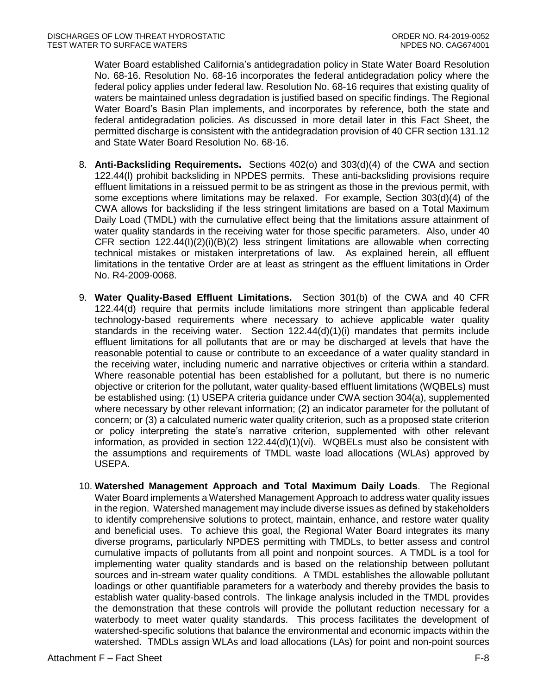Water Board established California's antidegradation policy in State Water Board Resolution No. 68-16. Resolution No. 68-16 incorporates the federal antidegradation policy where the federal policy applies under federal law. Resolution No. 68-16 requires that existing quality of waters be maintained unless degradation is justified based on specific findings. The Regional Water Board's Basin Plan implements, and incorporates by reference, both the state and federal antidegradation policies. As discussed in more detail later in this Fact Sheet, the permitted discharge is consistent with the antidegradation provision of 40 CFR section 131.12 and State Water Board Resolution No. 68-16.

- 8. **Anti-Backsliding Requirements.** Sections 402(o) and 303(d)(4) of the CWA and section 122.44(l) prohibit backsliding in NPDES permits. These anti-backsliding provisions require effluent limitations in a reissued permit to be as stringent as those in the previous permit, with some exceptions where limitations may be relaxed. For example, Section 303(d)(4) of the CWA allows for backsliding if the less stringent limitations are based on a Total Maximum Daily Load (TMDL) with the cumulative effect being that the limitations assure attainment of water quality standards in the receiving water for those specific parameters. Also, under 40 CFR section  $122.44(1)(2)(i)(B)(2)$  less stringent limitations are allowable when correcting technical mistakes or mistaken interpretations of law. As explained herein, all effluent limitations in the tentative Order are at least as stringent as the effluent limitations in Order No. R4-2009-0068.
- 9. **Water Quality-Based Effluent Limitations.** Section 301(b) of the CWA and 40 CFR 122.44(d) require that permits include limitations more stringent than applicable federal technology-based requirements where necessary to achieve applicable water quality standards in the receiving water. Section 122.44(d)(1)(i) mandates that permits include effluent limitations for all pollutants that are or may be discharged at levels that have the reasonable potential to cause or contribute to an exceedance of a water quality standard in the receiving water, including numeric and narrative objectives or criteria within a standard. Where reasonable potential has been established for a pollutant, but there is no numeric objective or criterion for the pollutant, water quality-based effluent limitations (WQBELs) must be established using: (1) USEPA criteria guidance under CWA section 304(a), supplemented where necessary by other relevant information; (2) an indicator parameter for the pollutant of concern; or (3) a calculated numeric water quality criterion, such as a proposed state criterion or policy interpreting the state's narrative criterion, supplemented with other relevant information, as provided in section  $122.44(d)(1)(vi)$ . WQBELs must also be consistent with the assumptions and requirements of TMDL waste load allocations (WLAs) approved by USEPA.
- 10. **Watershed Management Approach and Total Maximum Daily Loads**. The Regional Water Board implements a Watershed Management Approach to address water quality issues in the region. Watershed management may include diverse issues as defined by stakeholders to identify comprehensive solutions to protect, maintain, enhance, and restore water quality and beneficial uses. To achieve this goal, the Regional Water Board integrates its many diverse programs, particularly NPDES permitting with TMDLs, to better assess and control cumulative impacts of pollutants from all point and nonpoint sources. A TMDL is a tool for implementing water quality standards and is based on the relationship between pollutant sources and in-stream water quality conditions. A TMDL establishes the allowable pollutant loadings or other quantifiable parameters for a waterbody and thereby provides the basis to establish water quality-based controls. The linkage analysis included in the TMDL provides the demonstration that these controls will provide the pollutant reduction necessary for a waterbody to meet water quality standards. This process facilitates the development of watershed-specific solutions that balance the environmental and economic impacts within the watershed. TMDLs assign WLAs and load allocations (LAs) for point and non-point sources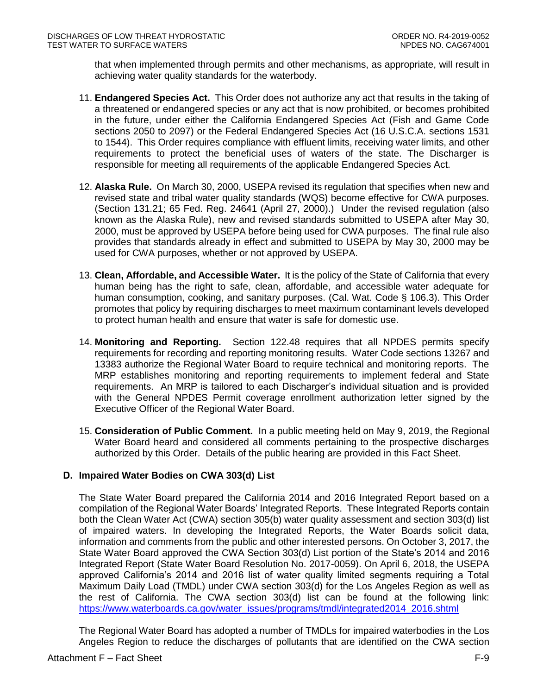that when implemented through permits and other mechanisms, as appropriate, will result in achieving water quality standards for the waterbody.

- 11. **Endangered Species Act.** This Order does not authorize any act that results in the taking of a threatened or endangered species or any act that is now prohibited, or becomes prohibited in the future, under either the California Endangered Species Act (Fish and Game Code sections 2050 to 2097) or the Federal Endangered Species Act (16 U.S.C.A. sections 1531 to 1544). This Order requires compliance with effluent limits, receiving water limits, and other requirements to protect the beneficial uses of waters of the state. The Discharger is responsible for meeting all requirements of the applicable Endangered Species Act.
- 12. **Alaska Rule.** On March 30, 2000, USEPA revised its regulation that specifies when new and revised state and tribal water quality standards (WQS) become effective for CWA purposes. (Section 131.21; 65 Fed. Reg. 24641 (April 27, 2000).) Under the revised regulation (also known as the Alaska Rule), new and revised standards submitted to USEPA after May 30, 2000, must be approved by USEPA before being used for CWA purposes. The final rule also provides that standards already in effect and submitted to USEPA by May 30, 2000 may be used for CWA purposes, whether or not approved by USEPA.
- 13. **Clean, Affordable, and Accessible Water.** It is the policy of the State of California that every human being has the right to safe, clean, affordable, and accessible water adequate for human consumption, cooking, and sanitary purposes. (Cal. Wat. Code § 106.3). This Order promotes that policy by requiring discharges to meet maximum contaminant levels developed to protect human health and ensure that water is safe for domestic use.
- 14. **Monitoring and Reporting.** Section 122.48 requires that all NPDES permits specify requirements for recording and reporting monitoring results. Water Code sections 13267 and 13383 authorize the Regional Water Board to require technical and monitoring reports. The MRP establishes monitoring and reporting requirements to implement federal and State requirements. An MRP is tailored to each Discharger's individual situation and is provided with the General NPDES Permit coverage enrollment authorization letter signed by the Executive Officer of the Regional Water Board.
- 15. **Consideration of Public Comment.** In a public meeting held on May 9, 2019, the Regional Water Board heard and considered all comments pertaining to the prospective discharges authorized by this Order. Details of the public hearing are provided in this Fact Sheet.

# <span id="page-8-0"></span>**D. Impaired Water Bodies on CWA 303(d) List**

The State Water Board prepared the California 2014 and 2016 Integrated Report based on a compilation of the Regional Water Boards' Integrated Reports. These Integrated Reports contain both the Clean Water Act (CWA) section 305(b) water quality assessment and section 303(d) list of impaired waters. In developing the Integrated Reports, the Water Boards solicit data, information and comments from the public and other interested persons. On October 3, 2017, the State Water Board approved the CWA Section 303(d) List portion of the State's 2014 and 2016 Integrated Report (State Water Board Resolution No. 2017-0059). On April 6, 2018, the USEPA approved California's 2014 and 2016 list of water quality limited segments requiring a Total Maximum Daily Load (TMDL) under CWA section 303(d) for the Los Angeles Region as well as the rest of California. The CWA section 303(d) list can be found at the following link: [https://www.waterboards.ca.gov/water\\_issues/programs/tmdl/integrated2014\\_2016.shtml](https://www.waterboards.ca.gov/water_issues/programs/tmdl/integrated2014_2016.shtml)

The Regional Water Board has adopted a number of TMDLs for impaired waterbodies in the Los Angeles Region to reduce the discharges of pollutants that are identified on the CWA section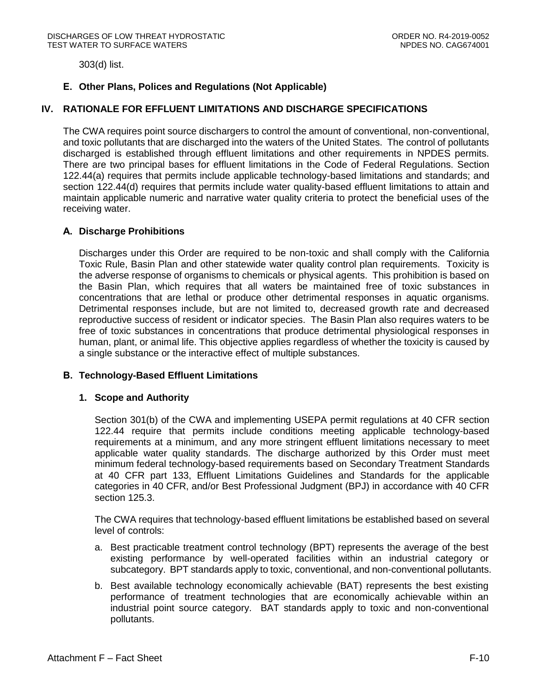303(d) list.

# <span id="page-9-0"></span>**E. Other Plans, Polices and Regulations (Not Applicable)**

### <span id="page-9-1"></span>**IV. RATIONALE FOR EFFLUENT LIMITATIONS AND DISCHARGE SPECIFICATIONS**

The CWA requires point source dischargers to control the amount of conventional, non-conventional, and toxic pollutants that are discharged into the waters of the United States. The control of pollutants discharged is established through effluent limitations and other requirements in NPDES permits. There are two principal bases for effluent limitations in the Code of Federal Regulations. Section 122.44(a) requires that permits include applicable technology-based limitations and standards; and section 122.44(d) requires that permits include water quality-based effluent limitations to attain and maintain applicable numeric and narrative water quality criteria to protect the beneficial uses of the receiving water.

#### <span id="page-9-2"></span>**A. Discharge Prohibitions**

Discharges under this Order are required to be non-toxic and shall comply with the California Toxic Rule, Basin Plan and other statewide water quality control plan requirements. Toxicity is the adverse response of organisms to chemicals or physical agents. This prohibition is based on the Basin Plan, which requires that all waters be maintained free of toxic substances in concentrations that are lethal or produce other detrimental responses in aquatic organisms. Detrimental responses include, but are not limited to, decreased growth rate and decreased reproductive success of resident or indicator species. The Basin Plan also requires waters to be free of toxic substances in concentrations that produce detrimental physiological responses in human, plant, or animal life. This objective applies regardless of whether the toxicity is caused by a single substance or the interactive effect of multiple substances.

#### <span id="page-9-4"></span><span id="page-9-3"></span>**B. Technology-Based Effluent Limitations**

#### **1. Scope and Authority**

Section 301(b) of the CWA and implementing USEPA permit regulations at 40 CFR section 122.44 require that permits include conditions meeting applicable technology-based requirements at a minimum, and any more stringent effluent limitations necessary to meet applicable water quality standards. The discharge authorized by this Order must meet minimum federal technology-based requirements based on Secondary Treatment Standards at 40 CFR part 133, Effluent Limitations Guidelines and Standards for the applicable categories in 40 CFR, and/or Best Professional Judgment (BPJ) in accordance with 40 CFR section 125.3.

The CWA requires that technology-based effluent limitations be established based on several level of controls:

- a. Best practicable treatment control technology (BPT) represents the average of the best existing performance by well-operated facilities within an industrial category or subcategory. BPT standards apply to toxic, conventional, and non-conventional pollutants.
- b. Best available technology economically achievable (BAT) represents the best existing performance of treatment technologies that are economically achievable within an industrial point source category. BAT standards apply to toxic and non-conventional pollutants.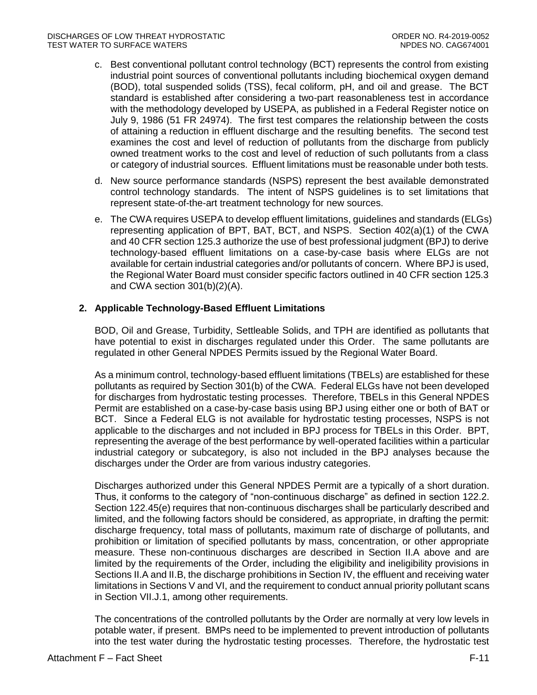- c. Best conventional pollutant control technology (BCT) represents the control from existing industrial point sources of conventional pollutants including biochemical oxygen demand (BOD), total suspended solids (TSS), fecal coliform, pH, and oil and grease. The BCT standard is established after considering a two-part reasonableness test in accordance with the methodology developed by USEPA, as published in a Federal Register notice on July 9, 1986 (51 FR 24974). The first test compares the relationship between the costs of attaining a reduction in effluent discharge and the resulting benefits. The second test examines the cost and level of reduction of pollutants from the discharge from publicly owned treatment works to the cost and level of reduction of such pollutants from a class or category of industrial sources. Effluent limitations must be reasonable under both tests.
- d. New source performance standards (NSPS) represent the best available demonstrated control technology standards. The intent of NSPS guidelines is to set limitations that represent state-of-the-art treatment technology for new sources.
- e. The CWA requires USEPA to develop effluent limitations, guidelines and standards (ELGs) representing application of BPT, BAT, BCT, and NSPS. Section 402(a)(1) of the CWA and 40 CFR section 125.3 authorize the use of best professional judgment (BPJ) to derive technology-based effluent limitations on a case-by-case basis where ELGs are not available for certain industrial categories and/or pollutants of concern. Where BPJ is used, the Regional Water Board must consider specific factors outlined in 40 CFR section 125.3 and CWA section 301(b)(2)(A).

# <span id="page-10-0"></span>**2. Applicable Technology-Based Effluent Limitations**

BOD, Oil and Grease, Turbidity, Settleable Solids, and TPH are identified as pollutants that have potential to exist in discharges regulated under this Order. The same pollutants are regulated in other General NPDES Permits issued by the Regional Water Board.

As a minimum control, technology-based effluent limitations (TBELs) are established for these pollutants as required by Section 301(b) of the CWA. Federal ELGs have not been developed for discharges from hydrostatic testing processes. Therefore, TBELs in this General NPDES Permit are established on a case-by-case basis using BPJ using either one or both of BAT or BCT. Since a Federal ELG is not available for hydrostatic testing processes, NSPS is not applicable to the discharges and not included in BPJ process for TBELs in this Order. BPT, representing the average of the best performance by well-operated facilities within a particular industrial category or subcategory, is also not included in the BPJ analyses because the discharges under the Order are from various industry categories.

Discharges authorized under this General NPDES Permit are a typically of a short duration. Thus, it conforms to the category of "non-continuous discharge" as defined in section 122.2. Section 122.45(e) requires that non-continuous discharges shall be particularly described and limited, and the following factors should be considered, as appropriate, in drafting the permit: discharge frequency, total mass of pollutants, maximum rate of discharge of pollutants, and prohibition or limitation of specified pollutants by mass, concentration, or other appropriate measure. These non-continuous discharges are described in Section II.A above and are limited by the requirements of the Order, including the eligibility and ineligibility provisions in Sections II.A and II.B, the discharge prohibitions in Section IV, the effluent and receiving water limitations in Sections V and VI, and the requirement to conduct annual priority pollutant scans in Section VII.J.1, among other requirements.

The concentrations of the controlled pollutants by the Order are normally at very low levels in potable water, if present. BMPs need to be implemented to prevent introduction of pollutants into the test water during the hydrostatic testing processes. Therefore, the hydrostatic test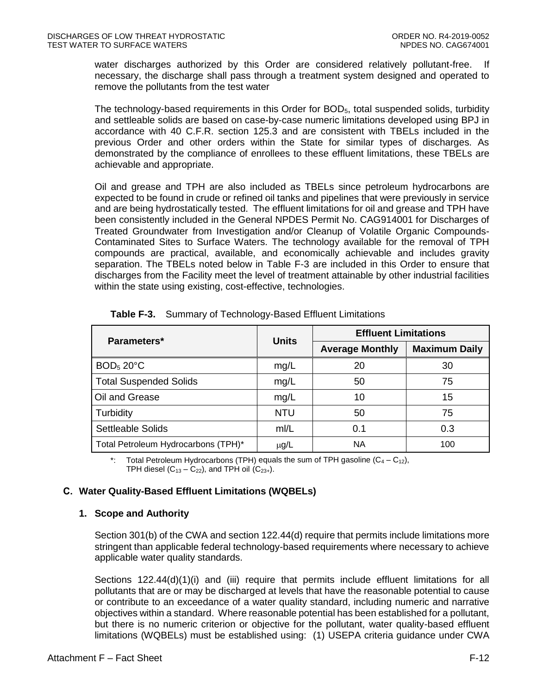water discharges authorized by this Order are considered relatively pollutant-free. If necessary, the discharge shall pass through a treatment system designed and operated to remove the pollutants from the test water

The technology-based requirements in this Order for  $BOD<sub>5</sub>$ , total suspended solids, turbidity and settleable solids are based on case-by-case numeric limitations developed using BPJ in accordance with 40 C.F.R. section 125.3 and are consistent with TBELs included in the previous Order and other orders within the State for similar types of discharges. As demonstrated by the compliance of enrollees to these effluent limitations, these TBELs are achievable and appropriate.

Oil and grease and TPH are also included as TBELs since petroleum hydrocarbons are expected to be found in crude or refined oil tanks and pipelines that were previously in service and are being hydrostatically tested. The effluent limitations for oil and grease and TPH have been consistently included in the General NPDES Permit No. CAG914001 for Discharges of Treated Groundwater from Investigation and/or Cleanup of Volatile Organic Compounds-Contaminated Sites to Surface Waters. The technology available for the removal of TPH compounds are practical, available, and economically achievable and includes gravity separation. The TBELs noted below in Table F-3 are included in this Order to ensure that discharges from the Facility meet the level of treatment attainable by other industrial facilities within the state using existing, cost-effective, technologies.

<span id="page-11-2"></span>

| Parameters*                         | <b>Units</b> | <b>Effluent Limitations</b> |                      |  |
|-------------------------------------|--------------|-----------------------------|----------------------|--|
|                                     |              | <b>Average Monthly</b>      | <b>Maximum Daily</b> |  |
| BOD <sub>5</sub> 20°C               | mg/L         | 20                          | 30                   |  |
| <b>Total Suspended Solids</b>       | mg/L         | 50                          | 75                   |  |
| Oil and Grease                      | mg/L         | 10                          | 15                   |  |
| Turbidity                           | <b>NTU</b>   | 50                          | 75                   |  |
| <b>Settleable Solids</b>            | mI/L         | 0.1                         | 0.3                  |  |
| Total Petroleum Hydrocarbons (TPH)* | $\mu$ g/L    | <b>NA</b>                   | 100                  |  |

**Table F-3.** Summary of Technology-Based Effluent Limitations

\*: Total Petroleum Hydrocarbons (TPH) equals the sum of TPH gasoline  $(C_4 - C_{12})$ , TPH diesel  $(C_{13} - C_{22})$ , and TPH oil  $(C_{23+})$ .

# <span id="page-11-1"></span><span id="page-11-0"></span>**C. Water Quality-Based Effluent Limitations (WQBELs)**

#### **1. Scope and Authority**

Section 301(b) of the CWA and section 122.44(d) require that permits include limitations more stringent than applicable federal technology-based requirements where necessary to achieve applicable water quality standards.

Sections 122.44(d)(1)(i) and (iii) require that permits include effluent limitations for all pollutants that are or may be discharged at levels that have the reasonable potential to cause or contribute to an exceedance of a water quality standard, including numeric and narrative objectives within a standard. Where reasonable potential has been established for a pollutant, but there is no numeric criterion or objective for the pollutant, water quality-based effluent limitations (WQBELs) must be established using: (1) USEPA criteria guidance under CWA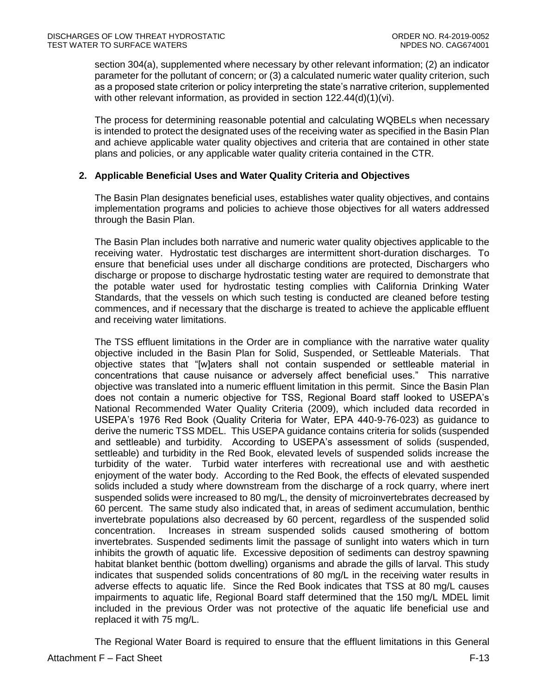section 304(a), supplemented where necessary by other relevant information; (2) an indicator parameter for the pollutant of concern; or (3) a calculated numeric water quality criterion, such as a proposed state criterion or policy interpreting the state's narrative criterion, supplemented with other relevant information, as provided in section 122.44(d)(1)(vi).

The process for determining reasonable potential and calculating WQBELs when necessary is intended to protect the designated uses of the receiving water as specified in the Basin Plan and achieve applicable water quality objectives and criteria that are contained in other state plans and policies, or any applicable water quality criteria contained in the CTR.

# <span id="page-12-0"></span>**2. Applicable Beneficial Uses and Water Quality Criteria and Objectives**

The Basin Plan designates beneficial uses, establishes water quality objectives, and contains implementation programs and policies to achieve those objectives for all waters addressed through the Basin Plan.

The Basin Plan includes both narrative and numeric water quality objectives applicable to the receiving water. Hydrostatic test discharges are intermittent short-duration discharges. To ensure that beneficial uses under all discharge conditions are protected, Dischargers who discharge or propose to discharge hydrostatic testing water are required to demonstrate that the potable water used for hydrostatic testing complies with California Drinking Water Standards, that the vessels on which such testing is conducted are cleaned before testing commences, and if necessary that the discharge is treated to achieve the applicable effluent and receiving water limitations.

The TSS effluent limitations in the Order are in compliance with the narrative water quality objective included in the Basin Plan for Solid, Suspended, or Settleable Materials. That objective states that "[w]aters shall not contain suspended or settleable material in concentrations that cause nuisance or adversely affect beneficial uses." This narrative objective was translated into a numeric effluent limitation in this permit. Since the Basin Plan does not contain a numeric objective for TSS, Regional Board staff looked to USEPA's National Recommended Water Quality Criteria (2009), which included data recorded in USEPA's 1976 Red Book (Quality Criteria for Water, EPA 440-9-76-023) as guidance to derive the numeric TSS MDEL. This USEPA guidance contains criteria for solids (suspended and settleable) and turbidity. According to USEPA's assessment of solids (suspended, settleable) and turbidity in the Red Book, elevated levels of suspended solids increase the turbidity of the water. Turbid water interferes with recreational use and with aesthetic enjoyment of the water body. According to the Red Book, the effects of elevated suspended solids included a study where downstream from the discharge of a rock quarry, where inert suspended solids were increased to 80 mg/L, the density of microinvertebrates decreased by 60 percent. The same study also indicated that, in areas of sediment accumulation, benthic invertebrate populations also decreased by 60 percent, regardless of the suspended solid concentration. Increases in stream suspended solids caused smothering of bottom invertebrates. Suspended sediments limit the passage of sunlight into waters which in turn inhibits the growth of aquatic life. Excessive deposition of sediments can destroy spawning habitat blanket benthic (bottom dwelling) organisms and abrade the gills of larval. This study indicates that suspended solids concentrations of 80 mg/L in the receiving water results in adverse effects to aquatic life. Since the Red Book indicates that TSS at 80 mg/L causes impairments to aquatic life, Regional Board staff determined that the 150 mg/L MDEL limit included in the previous Order was not protective of the aquatic life beneficial use and replaced it with 75 mg/L.

The Regional Water Board is required to ensure that the effluent limitations in this General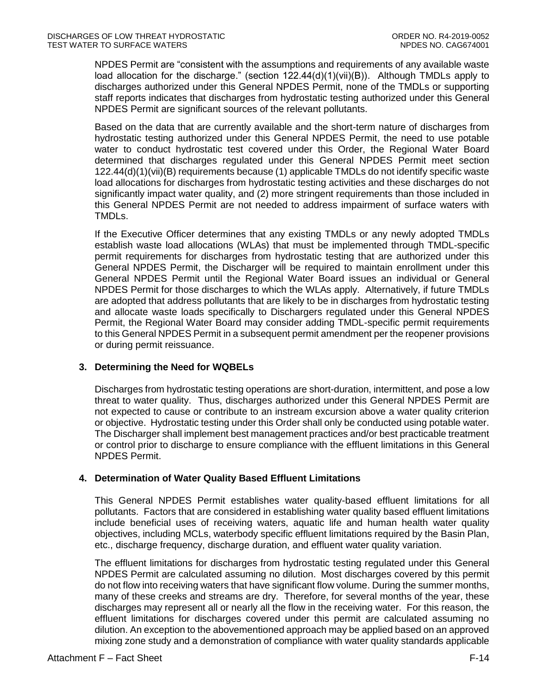NPDES Permit are "consistent with the assumptions and requirements of any available waste load allocation for the discharge." (section  $122.44(d)(1)(vi)(B)$ ). Although TMDLs apply to discharges authorized under this General NPDES Permit, none of the TMDLs or supporting staff reports indicates that discharges from hydrostatic testing authorized under this General NPDES Permit are significant sources of the relevant pollutants.

Based on the data that are currently available and the short-term nature of discharges from hydrostatic testing authorized under this General NPDES Permit, the need to use potable water to conduct hydrostatic test covered under this Order, the Regional Water Board determined that discharges regulated under this General NPDES Permit meet section 122.44(d)(1)(vii)(B) requirements because (1) applicable TMDLs do not identify specific waste load allocations for discharges from hydrostatic testing activities and these discharges do not significantly impact water quality, and (2) more stringent requirements than those included in this General NPDES Permit are not needed to address impairment of surface waters with TMDLs.

If the Executive Officer determines that any existing TMDLs or any newly adopted TMDLs establish waste load allocations (WLAs) that must be implemented through TMDL-specific permit requirements for discharges from hydrostatic testing that are authorized under this General NPDES Permit, the Discharger will be required to maintain enrollment under this General NPDES Permit until the Regional Water Board issues an individual or General NPDES Permit for those discharges to which the WLAs apply. Alternatively, if future TMDLs are adopted that address pollutants that are likely to be in discharges from hydrostatic testing and allocate waste loads specifically to Dischargers regulated under this General NPDES Permit, the Regional Water Board may consider adding TMDL-specific permit requirements to this General NPDES Permit in a subsequent permit amendment per the reopener provisions or during permit reissuance.

# <span id="page-13-0"></span>**3. Determining the Need for WQBELs**

Discharges from hydrostatic testing operations are short-duration, intermittent, and pose a low threat to water quality. Thus, discharges authorized under this General NPDES Permit are not expected to cause or contribute to an instream excursion above a water quality criterion or objective. Hydrostatic testing under this Order shall only be conducted using potable water. The Discharger shall implement best management practices and/or best practicable treatment or control prior to discharge to ensure compliance with the effluent limitations in this General NPDES Permit.

# <span id="page-13-1"></span>**4. Determination of Water Quality Based Effluent Limitations**

This General NPDES Permit establishes water quality-based effluent limitations for all pollutants. Factors that are considered in establishing water quality based effluent limitations include beneficial uses of receiving waters, aquatic life and human health water quality objectives, including MCLs, waterbody specific effluent limitations required by the Basin Plan, etc., discharge frequency, discharge duration, and effluent water quality variation.

The effluent limitations for discharges from hydrostatic testing regulated under this General NPDES Permit are calculated assuming no dilution. Most discharges covered by this permit do not flow into receiving waters that have significant flow volume. During the summer months, many of these creeks and streams are dry. Therefore, for several months of the year, these discharges may represent all or nearly all the flow in the receiving water. For this reason, the effluent limitations for discharges covered under this permit are calculated assuming no dilution. An exception to the abovementioned approach may be applied based on an approved mixing zone study and a demonstration of compliance with water quality standards applicable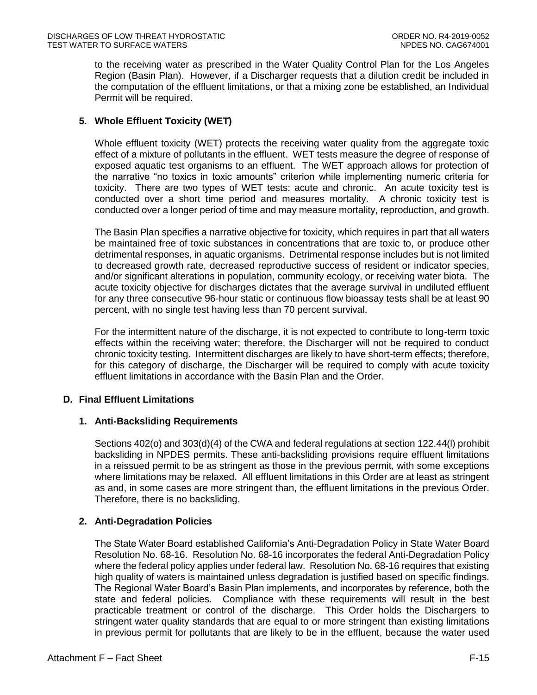to the receiving water as prescribed in the Water Quality Control Plan for the Los Angeles Region (Basin Plan). However, if a Discharger requests that a dilution credit be included in the computation of the effluent limitations, or that a mixing zone be established, an Individual Permit will be required.

# <span id="page-14-0"></span>**5. Whole Effluent Toxicity (WET)**

Whole effluent toxicity (WET) protects the receiving water quality from the aggregate toxic effect of a mixture of pollutants in the effluent. WET tests measure the degree of response of exposed aquatic test organisms to an effluent. The WET approach allows for protection of the narrative "no toxics in toxic amounts" criterion while implementing numeric criteria for toxicity. There are two types of WET tests: acute and chronic. An acute toxicity test is conducted over a short time period and measures mortality. A chronic toxicity test is conducted over a longer period of time and may measure mortality, reproduction, and growth.

The Basin Plan specifies a narrative objective for toxicity, which requires in part that all waters be maintained free of toxic substances in concentrations that are toxic to, or produce other detrimental responses, in aquatic organisms. Detrimental response includes but is not limited to decreased growth rate, decreased reproductive success of resident or indicator species, and/or significant alterations in population, community ecology, or receiving water biota. The acute toxicity objective for discharges dictates that the average survival in undiluted effluent for any three consecutive 96-hour static or continuous flow bioassay tests shall be at least 90 percent, with no single test having less than 70 percent survival.

For the intermittent nature of the discharge, it is not expected to contribute to long-term toxic effects within the receiving water; therefore, the Discharger will not be required to conduct chronic toxicity testing. Intermittent discharges are likely to have short-term effects; therefore, for this category of discharge, the Discharger will be required to comply with acute toxicity effluent limitations in accordance with the Basin Plan and the Order.

# <span id="page-14-2"></span><span id="page-14-1"></span>**D. Final Effluent Limitations**

# **1. Anti-Backsliding Requirements**

Sections 402(o) and 303(d)(4) of the CWA and federal regulations at section 122.44(l) prohibit backsliding in NPDES permits. These anti-backsliding provisions require effluent limitations in a reissued permit to be as stringent as those in the previous permit, with some exceptions where limitations may be relaxed. All effluent limitations in this Order are at least as stringent as and, in some cases are more stringent than, the effluent limitations in the previous Order. Therefore, there is no backsliding.

# <span id="page-14-3"></span>**2. Anti-Degradation Policies**

The State Water Board established California's Anti-Degradation Policy in State Water Board Resolution No. 68-16. Resolution No. 68-16 incorporates the federal Anti-Degradation Policy where the federal policy applies under federal law. Resolution No. 68-16 requires that existing high quality of waters is maintained unless degradation is justified based on specific findings. The Regional Water Board's Basin Plan implements, and incorporates by reference, both the state and federal policies. Compliance with these requirements will result in the best practicable treatment or control of the discharge. This Order holds the Dischargers to stringent water quality standards that are equal to or more stringent than existing limitations in previous permit for pollutants that are likely to be in the effluent, because the water used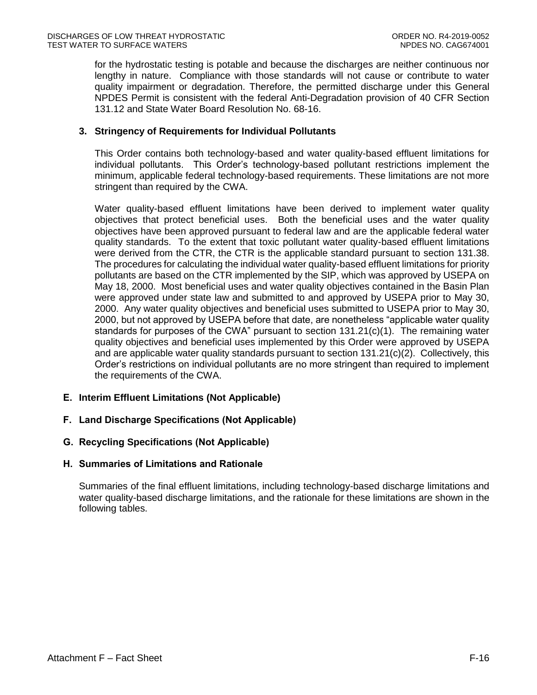for the hydrostatic testing is potable and because the discharges are neither continuous nor lengthy in nature. Compliance with those standards will not cause or contribute to water quality impairment or degradation. Therefore, the permitted discharge under this General NPDES Permit is consistent with the federal Anti-Degradation provision of 40 CFR Section 131.12 and State Water Board Resolution No. 68-16.

### <span id="page-15-0"></span>**3. Stringency of Requirements for Individual Pollutants**

This Order contains both technology-based and water quality-based effluent limitations for individual pollutants. This Order's technology-based pollutant restrictions implement the minimum, applicable federal technology-based requirements. These limitations are not more stringent than required by the CWA.

Water quality-based effluent limitations have been derived to implement water quality objectives that protect beneficial uses. Both the beneficial uses and the water quality objectives have been approved pursuant to federal law and are the applicable federal water quality standards. To the extent that toxic pollutant water quality-based effluent limitations were derived from the CTR, the CTR is the applicable standard pursuant to section 131.38. The procedures for calculating the individual water quality-based effluent limitations for priority pollutants are based on the CTR implemented by the SIP, which was approved by USEPA on May 18, 2000. Most beneficial uses and water quality objectives contained in the Basin Plan were approved under state law and submitted to and approved by USEPA prior to May 30, 2000. Any water quality objectives and beneficial uses submitted to USEPA prior to May 30, 2000, but not approved by USEPA before that date, are nonetheless "applicable water quality standards for purposes of the CWA" pursuant to section 131.21(c)(1). The remaining water quality objectives and beneficial uses implemented by this Order were approved by USEPA and are applicable water quality standards pursuant to section 131.21(c)(2). Collectively, this Order's restrictions on individual pollutants are no more stringent than required to implement the requirements of the CWA.

# <span id="page-15-1"></span>**E. Interim Effluent Limitations (Not Applicable)**

# <span id="page-15-2"></span>**F. Land Discharge Specifications (Not Applicable)**

# <span id="page-15-3"></span>**G. Recycling Specifications (Not Applicable)**

#### <span id="page-15-4"></span>**H. Summaries of Limitations and Rationale**

Summaries of the final effluent limitations, including technology-based discharge limitations and water quality-based discharge limitations, and the rationale for these limitations are shown in the following tables.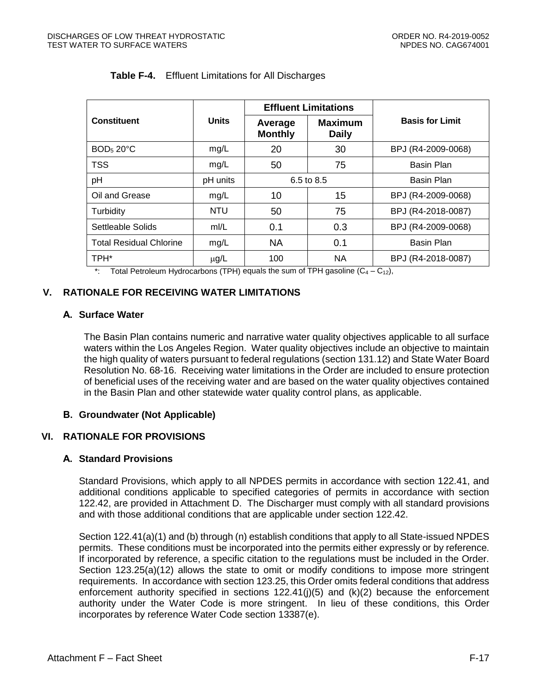<span id="page-16-5"></span>

|                                | <b>Units</b> |                           | <b>Effluent Limitations</b>    | <b>Basis for Limit</b> |
|--------------------------------|--------------|---------------------------|--------------------------------|------------------------|
| <b>Constituent</b>             |              | Average<br><b>Monthly</b> | <b>Maximum</b><br><b>Daily</b> |                        |
| <b>BOD<sub>5</sub> 20°C</b>    | mg/L         | 20                        | 30                             | BPJ (R4-2009-0068)     |
| <b>TSS</b>                     | mg/L         | 50                        | 75                             | Basin Plan             |
| pH                             | pH units     | 6.5 to 8.5                |                                | Basin Plan             |
| Oil and Grease                 | mg/L         | 10                        | 15                             | BPJ (R4-2009-0068)     |
| Turbidity                      | <b>NTU</b>   | 50                        | 75                             | BPJ (R4-2018-0087)     |
| Settleable Solids              | m/L          | 0.1                       | 0.3                            | BPJ (R4-2009-0068)     |
| <b>Total Residual Chlorine</b> | mg/L         | NA                        | 0.1                            | Basin Plan             |
| TPH*                           | $\mu$ g/L    | 100                       | <b>NA</b>                      | BPJ (R4-2018-0087)     |

### **Table F-4.** Effluent Limitations for All Discharges

\*: Total Petroleum Hydrocarbons (TPH) equals the sum of TPH gasoline  $(C_4 - C_{12})$ ,

# <span id="page-16-0"></span>**V. RATIONALE FOR RECEIVING WATER LIMITATIONS**

# <span id="page-16-1"></span>**A. Surface Water**

The Basin Plan contains numeric and narrative water quality objectives applicable to all surface waters within the Los Angeles Region. Water quality objectives include an objective to maintain the high quality of waters pursuant to federal regulations (section 131.12) and State Water Board Resolution No. 68-16. Receiving water limitations in the Order are included to ensure protection of beneficial uses of the receiving water and are based on the water quality objectives contained in the Basin Plan and other statewide water quality control plans, as applicable.

# <span id="page-16-2"></span>**B. Groundwater (Not Applicable)**

# <span id="page-16-3"></span>**VI. RATIONALE FOR PROVISIONS**

# <span id="page-16-4"></span>**A. Standard Provisions**

Standard Provisions, which apply to all NPDES permits in accordance with section 122.41, and additional conditions applicable to specified categories of permits in accordance with section 122.42, are provided in Attachment D. The Discharger must comply with all standard provisions and with those additional conditions that are applicable under section 122.42.

Section 122.41(a)(1) and (b) through (n) establish conditions that apply to all State-issued NPDES permits. These conditions must be incorporated into the permits either expressly or by reference. If incorporated by reference, a specific citation to the regulations must be included in the Order. Section 123.25(a)(12) allows the state to omit or modify conditions to impose more stringent requirements. In accordance with section 123.25, this Order omits federal conditions that address enforcement authority specified in sections  $122.41(j)(5)$  and  $(k)(2)$  because the enforcement authority under the Water Code is more stringent. In lieu of these conditions, this Order incorporates by reference Water Code section 13387(e).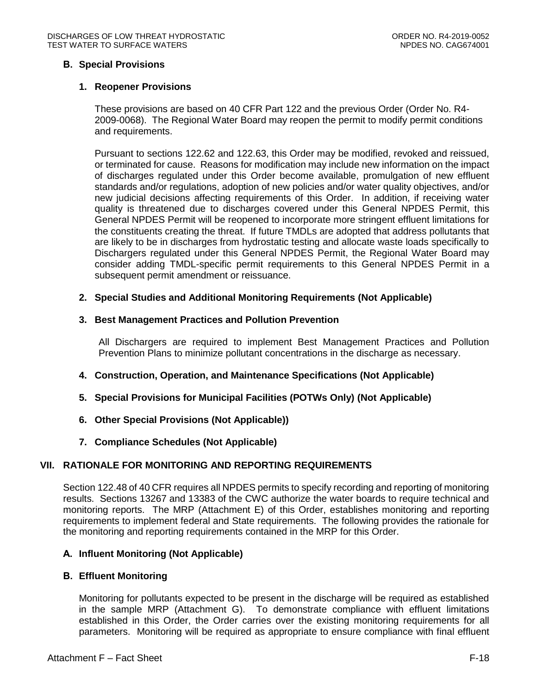# <span id="page-17-1"></span><span id="page-17-0"></span>**B. Special Provisions**

# **1. Reopener Provisions**

These provisions are based on 40 CFR Part 122 and the previous Order (Order No. R4- 2009-0068). The Regional Water Board may reopen the permit to modify permit conditions and requirements.

Pursuant to sections 122.62 and 122.63, this Order may be modified, revoked and reissued, or terminated for cause. Reasons for modification may include new information on the impact of discharges regulated under this Order become available, promulgation of new effluent standards and/or regulations, adoption of new policies and/or water quality objectives, and/or new judicial decisions affecting requirements of this Order. In addition, if receiving water quality is threatened due to discharges covered under this General NPDES Permit, this General NPDES Permit will be reopened to incorporate more stringent effluent limitations for the constituents creating the threat. If future TMDLs are adopted that address pollutants that are likely to be in discharges from hydrostatic testing and allocate waste loads specifically to Dischargers regulated under this General NPDES Permit, the Regional Water Board may consider adding TMDL-specific permit requirements to this General NPDES Permit in a subsequent permit amendment or reissuance.

# <span id="page-17-2"></span>**2. Special Studies and Additional Monitoring Requirements (Not Applicable)**

#### <span id="page-17-3"></span>**3. Best Management Practices and Pollution Prevention**

All Dischargers are required to implement Best Management Practices and Pollution Prevention Plans to minimize pollutant concentrations in the discharge as necessary.

# <span id="page-17-4"></span>**4. Construction, Operation, and Maintenance Specifications (Not Applicable)**

- <span id="page-17-5"></span>**5. Special Provisions for Municipal Facilities (POTWs Only) (Not Applicable)**
- <span id="page-17-6"></span>**6. Other Special Provisions (Not Applicable))**
- **7. Compliance Schedules (Not Applicable)**

# <span id="page-17-8"></span><span id="page-17-7"></span>**VII. RATIONALE FOR MONITORING AND REPORTING REQUIREMENTS**

Section 122.48 of 40 CFR requires all NPDES permits to specify recording and reporting of monitoring results. Sections 13267 and 13383 of the CWC authorize the water boards to require technical and monitoring reports. The MRP (Attachment E) of this Order, establishes monitoring and reporting requirements to implement federal and State requirements. The following provides the rationale for the monitoring and reporting requirements contained in the MRP for this Order.

#### <span id="page-17-9"></span>**A. Influent Monitoring (Not Applicable)**

#### <span id="page-17-10"></span>**B. Effluent Monitoring**

Monitoring for pollutants expected to be present in the discharge will be required as established in the sample MRP (Attachment G). To demonstrate compliance with effluent limitations established in this Order, the Order carries over the existing monitoring requirements for all parameters. Monitoring will be required as appropriate to ensure compliance with final effluent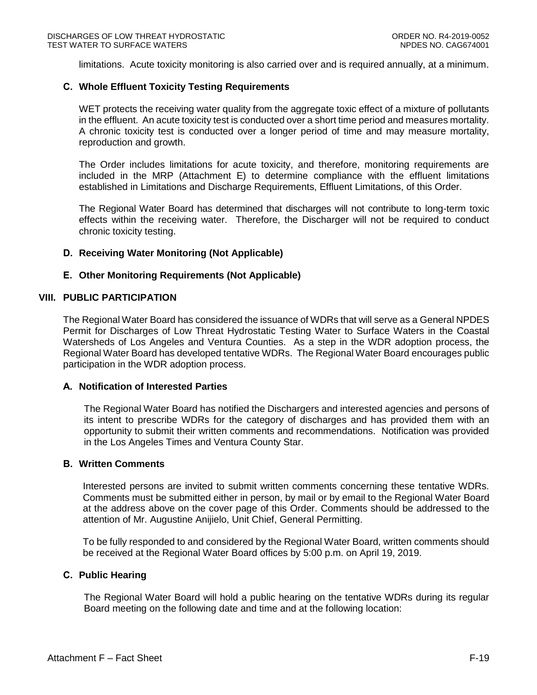limitations. Acute toxicity monitoring is also carried over and is required annually, at a minimum.

#### <span id="page-18-0"></span>**C. Whole Effluent Toxicity Testing Requirements**

WET protects the receiving water quality from the aggregate toxic effect of a mixture of pollutants in the effluent. An acute toxicity test is conducted over a short time period and measures mortality. A chronic toxicity test is conducted over a longer period of time and may measure mortality, reproduction and growth.

The Order includes limitations for acute toxicity, and therefore, monitoring requirements are included in the MRP (Attachment E) to determine compliance with the effluent limitations established in Limitations and Discharge Requirements, Effluent Limitations, of this Order.

The Regional Water Board has determined that discharges will not contribute to long-term toxic effects within the receiving water. Therefore, the Discharger will not be required to conduct chronic toxicity testing.

#### <span id="page-18-1"></span>**D. Receiving Water Monitoring (Not Applicable)**

#### <span id="page-18-2"></span>**E. Other Monitoring Requirements (Not Applicable)**

#### <span id="page-18-3"></span>**VIII. PUBLIC PARTICIPATION**

The Regional Water Board has considered the issuance of WDRs that will serve as a General NPDES Permit for Discharges of Low Threat Hydrostatic Testing Water to Surface Waters in the Coastal Watersheds of Los Angeles and Ventura Counties. As a step in the WDR adoption process, the Regional Water Board has developed tentative WDRs. The Regional Water Board encourages public participation in the WDR adoption process.

#### <span id="page-18-4"></span>**A. Notification of Interested Parties**

The Regional Water Board has notified the Dischargers and interested agencies and persons of its intent to prescribe WDRs for the category of discharges and has provided them with an opportunity to submit their written comments and recommendations. Notification was provided in the Los Angeles Times and Ventura County Star.

#### <span id="page-18-5"></span>**B. Written Comments**

Interested persons are invited to submit written comments concerning these tentative WDRs. Comments must be submitted either in person, by mail or by email to the Regional Water Board at the address above on the cover page of this Order. Comments should be addressed to the attention of Mr. Augustine Anijielo, Unit Chief, General Permitting.

To be fully responded to and considered by the Regional Water Board, written comments should be received at the Regional Water Board offices by 5:00 p.m. on April 19, 2019.

#### <span id="page-18-6"></span>**C. Public Hearing**

The Regional Water Board will hold a public hearing on the tentative WDRs during its regular Board meeting on the following date and time and at the following location: